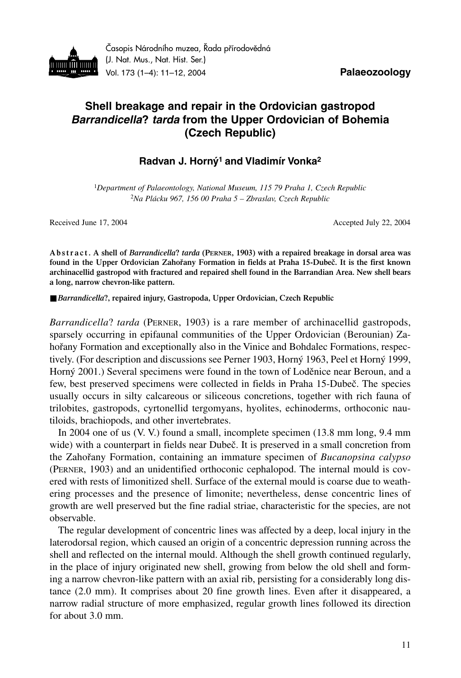

Časopis Národního muzea, Řada přírodovědná (J. Nat. Mus., Nat. Hist. Ser.) Vol. 173 (1–4): 11–12, 2004 **Palaeozoology**

## **Shell breakage and repair in the Ordovician gastropod** *Barrandicella***?** *tarda* **from the Upper Ordovician of Bohemia (Czech Republic)**

## **Radvan J. Horný1 and Vladimír Vonka2**

<sup>1</sup>*Department of Palaeontology, National Museum, 115 79 Praha 1, Czech Republic* <sup>2</sup>*Na Plácku 967, 156 00 Praha 5 – Zbraslav, Czech Republic*

Received June 17, 2004 **Accepted July 22, 2004** Accepted July 22, 2004

**A b s t r a c t . A shell of** *Barrandicella***?** *tarda* **(PERNER, 1903) with a repaired breakage in dorsal area was found in the Upper Ordovician Zahořany Formation in fields at Praha 15-Dubeč. It is the first known archinacellid gastropod with fractured and repaired shell found in the Barrandian Area. New shell bears a long, narrow chevron-like pattern.**

■ *Barrandicella*?, repaired injury, Gastropoda, Upper Ordovician, Czech Republic

*Barrandicella*? *tarda* (PERNER, 1903) is a rare member of archinacellid gastropods, sparsely occurring in epifaunal communities of the Upper Ordovician (Berounian) Zahořany Formation and exceptionally also in the Vinice and Bohdalec Formations, respectively. (For description and discussions see Perner 1903, Horný 1963, Peel et Horný 1999, Horný 2001.) Several specimens were found in the town of Loděnice near Beroun, and a few, best preserved specimens were collected in fields in Praha 15-Dubeč. The species usually occurs in silty calcareous or siliceous concretions, together with rich fauna of trilobites, gastropods, cyrtonellid tergomyans, hyolites, echinoderms, orthoconic nautiloids, brachiopods, and other invertebrates.

In 2004 one of us (V. V.) found a small, incomplete specimen (13.8 mm long, 9.4 mm wide) with a counterpart in fields near Dubeč. It is preserved in a small concretion from the Zahořany Formation, containing an immature specimen of *Bucanopsina calypso* (PERNER, 1903) and an unidentified orthoconic cephalopod. The internal mould is covered with rests of limonitized shell. Surface of the external mould is coarse due to weathering processes and the presence of limonite; nevertheless, dense concentric lines of growth are well preserved but the fine radial striae, characteristic for the species, are not observable.

The regular development of concentric lines was affected by a deep, local injury in the laterodorsal region, which caused an origin of a concentric depression running across the shell and reflected on the internal mould. Although the shell growth continued regularly, in the place of injury originated new shell, growing from below the old shell and forming a narrow chevron-like pattern with an axial rib, persisting for a considerably long distance (2.0 mm). It comprises about 20 fine growth lines. Even after it disappeared, a narrow radial structure of more emphasized, regular growth lines followed its direction for about 3.0 mm.